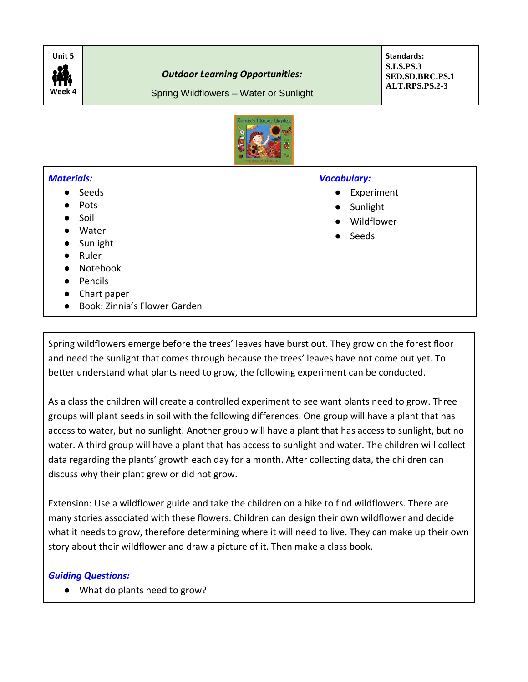| Unit 5<br>Week 4                                 | <b>Outdoor Learning Opportunities:</b><br>Spring Wildflowers - Water or Sunlight |                    | Standards:<br><b>S.LS.PS.3</b><br>SED.SD.BRC.PS.1<br><b>ALT.RPS.PS.2-3</b> |  |
|--------------------------------------------------|----------------------------------------------------------------------------------|--------------------|----------------------------------------------------------------------------|--|
| Zinnia's Flower Garden<br><b>NICA WELLINGTON</b> |                                                                                  |                    |                                                                            |  |
| <b>Materials:</b>                                |                                                                                  | <b>Vocabulary:</b> |                                                                            |  |
|                                                  | Seeds                                                                            | Experiment         |                                                                            |  |
| Pots<br>Soil<br>Water<br>$\bullet$               |                                                                                  |                    | Sunlight<br>Wildflower<br>Seeds                                            |  |
|                                                  |                                                                                  |                    |                                                                            |  |
|                                                  |                                                                                  |                    |                                                                            |  |
| $\bullet$                                        | Sunlight                                                                         |                    |                                                                            |  |
| $\bullet$                                        | Ruler                                                                            |                    |                                                                            |  |
| $\bullet$                                        | Notebook                                                                         |                    |                                                                            |  |
| $\bullet$                                        | Pencils                                                                          |                    |                                                                            |  |
|                                                  | Chart paper                                                                      |                    |                                                                            |  |
|                                                  | Book: Zinnia's Flower Garden                                                     |                    |                                                                            |  |

Spring wildflowers emerge before the trees' leaves have burst out. They grow on the forest floor and need the sunlight that comes through because the trees' leaves have not come out yet. To better understand what plants need to grow, the following experiment can be conducted.

As a class the children will create a controlled experiment to see want plants need to grow. Three groups will plant seeds in soil with the following differences. One group will have a plant that has access to water, but no sunlight. Another group will have a plant that has access to sunlight, but no water. A third group will have a plant that has access to sunlight and water. The children will collect data regarding the plants' growth each day for a month. After collecting data, the children can discuss why their plant grew or did not grow.

Extension: Use a wildflower guide and take the children on a hike to find wildflowers. There are many stories associated with these flowers. Children can design their own wildflower and decide what it needs to grow, therefore determining where it will need to live. They can make up their own story about their wildflower and draw a picture of it. Then make a class book.

## *Guiding Questions:*

● What do plants need to grow?